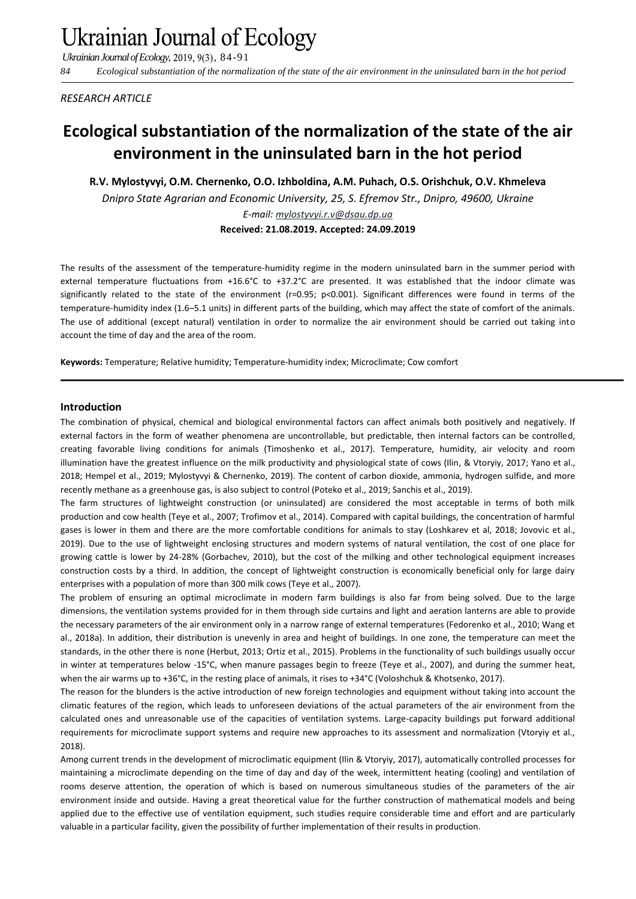*Ukrainian Journal of Ecology,* 2019, 9(3), 84-91

*84 Ecological substantiation of the normalization of the state of the air environment in the uninsulated barn in the hot period*

*RESEARCH ARTICLE*

# **Ecological substantiation of the normalization of the state of the air environment in the uninsulated barn in the hot period**

**R.V. Mylostyvyi, О.М. Chernenko, O.O. Izhboldina, A.M. Puhach, O.S. Orishchuk, O.V. Khmeleva** *Dnipro State Agrarian and Economic University, 25, S. Efremov Str., Dnipro, 49600, Ukraine E-mail: mylostyvyi.r.v@dsau.dp.ua*

**Received: 21.08.2019. Accepted: 24.09.2019**

The results of the assessment of the temperature-humidity regime in the modern uninsulated barn in the summer period with external temperature fluctuations from +16.6°С to +37.2°С are presented. It was established that the indoor climate was significantly related to the state of the environment (r=0.95; p<0.001). Significant differences were found in terms of the temperature-humidity index (1.6–5.1 units) in different parts of the building, which may affect the state of comfort of the animals. The use of additional (except natural) ventilation in order to normalize the air environment should be carried out taking into account the time of day and the area of the room.

**Keywords:** Temperature; Relative humidity; Temperature-humidity index; Microclimate; Cow comfort

### **Introduction**

The combination of physical, chemical and biological environmental factors can affect animals both positively and negatively. If external factors in the form of weather phenomena are uncontrollable, but predictable, then internal factors can be controlled, creating favorable living conditions for animals (Timoshenko et al., 2017). Temperature, humidity, air velocity and room illumination have the greatest influence on the milk productivity and physiological state of cows (Ilin, & Vtoryiy, 2017; Yano et al., 2018; Hempel et al., 2019; Mylostyvyi & Chernenko, 2019). The content of carbon dioxide, ammonia, hydrogen sulfide, and more recently methane as a greenhouse gas, is also subject to control (Poteko et al., 2019; Sanchis et al., 2019).

The farm structures of lightweight construction (or uninsulated) are considered the most acceptable in terms of both milk production and cow health (Teye et al., 2007; Trofimov et al., 2014). Compared with capital buildings, the concentration of harmful gases is lower in them and there are the more comfortable conditions for animals to stay (Loshkarev et al, 2018; Jovovic et al., 2019). Due to the use of lightweight enclosing structures and modern systems of natural ventilation, the cost of one place for growing cattle is lower by 24-28% (Gorbachev, 2010), but the cost of the milking and other technological equipment increases construction costs by a third. In addition, the concept of lightweight construction is economically beneficial only for large dairy enterprises with a population of more than 300 milk cows (Teye et al., 2007).

The problem of ensuring an optimal microclimate in modern farm buildings is also far from being solved. Due to the large dimensions, the ventilation systems provided for in them through side curtains and light and aeration lanterns are able to provide the necessary parameters of the air environment only in a narrow range of external temperatures (Fedorenko et al., 2010; Wang et al., 2018a). In addition, their distribution is unevenly in area and height of buildings. In one zone, the temperature can meet the standards, in the other there is none (Herbut, 2013; Ortiz et al., 2015). Problems in the functionality of such buildings usually occur in winter at temperatures below -15°C, when manure passages begin to freeze (Teye et al., 2007), and during the summer heat, when the air warms up to +36°C, in the resting place of animals, it rises to +34°C (Voloshchuk & Khotsenko, 2017).

The reason for the blunders is the active introduction of new foreign technologies and equipment without taking into account the climatic features of the region, which leads to unforeseen deviations of the actual parameters of the air environment from the calculated ones and unreasonable use of the capacities of ventilation systems. Large-capacity buildings put forward additional requirements for microclimate support systems and require new approaches to its assessment and normalization (Vtoryiy et al., 2018).

Among current trends in the development of microclimatic equipment (Ilin & Vtoryiy, 2017), automatically controlled processes for maintaining a microclimate depending on the time of day and day of the week, intermittent heating (cooling) and ventilation of rooms deserve attention, the operation of which is based on numerous simultaneous studies of the parameters of the air environment inside and outside. Having a great theoretical value for the further construction of mathematical models and being applied due to the effective use of ventilation equipment, such studies require considerable time and effort and are particularly valuable in a particular facility, given the possibility of further implementation of their results in production.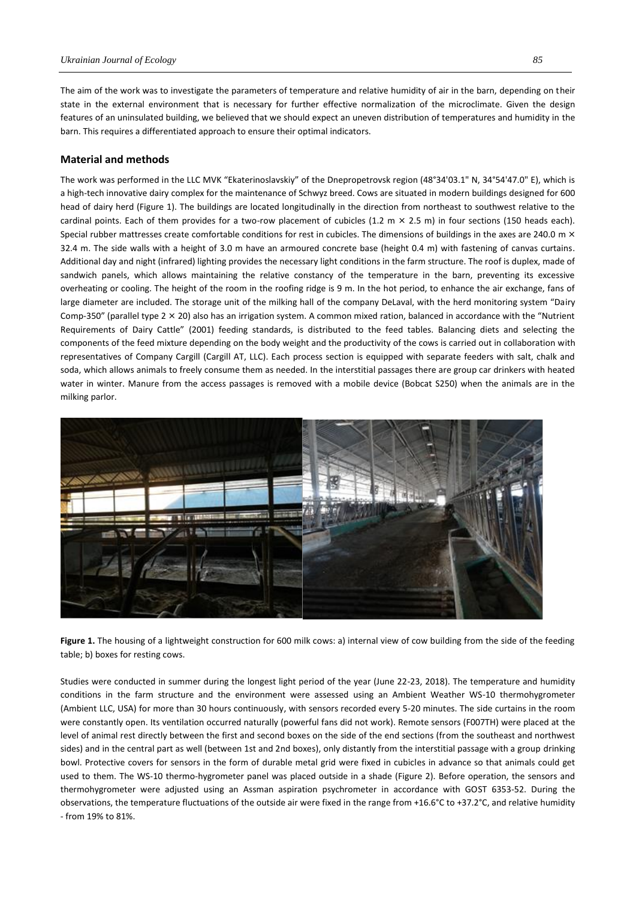The aim of the work was to investigate the parameters of temperature and relative humidity of air in the barn, depending on their state in the external environment that is necessary for further effective normalization of the microclimate. Given the design features of an uninsulated building, we believed that we should expect an uneven distribution of temperatures and humidity in the barn. This requires a differentiated approach to ensure their optimal indicators.

### **Material and methods**

The work was performed in the LLC MVK "Ekaterinoslavskiy" of the Dnepropetrovsk region (48°34'03.1" N, 34°54'47.0" E), which is a high-tech innovative dairy complex for the maintenance of Schwyz breed. Cows are situated in modern buildings designed for 600 head of dairy herd (Figure 1). The buildings are located longitudinally in the direction from northeast to southwest relative to the cardinal points. Each of them provides for a two-row placement of cubicles (1.2 m  $\times$  2.5 m) in four sections (150 heads each). Special rubber mattresses create comfortable conditions for rest in cubicles. The dimensions of buildings in the axes are 240.0 m  $\times$ 32.4 m. The side walls with a height of 3.0 m have an armoured concrete base (height 0.4 m) with fastening of canvas curtains. Additional day and night (infrared) lighting provides the necessary light conditions in the farm structure. The roof is duplex, made of sandwich panels, which allows maintaining the relative constancy of the temperature in the barn, preventing its excessive overheating or cooling. The height of the room in the roofing ridge is 9 m. In the hot period, to enhance the air exchange, fans of large diameter are included. The storage unit of the milking hall of the company DeLaval, with the herd monitoring system "Dairy Comp-350" (parallel type  $2 \times 20$ ) also has an irrigation system. A common mixed ration, balanced in accordance with the "Nutrient" Requirements of Dairy Cattle" (2001) feeding standards, is distributed to the feed tables. Balancing diets and selecting the components of the feed mixture depending on the body weight and the productivity of the cows is carried out in collaboration with representatives of Company Cargill (Cargill AT, LLC). Each process section is equipped with separate feeders with salt, chalk and soda, which allows animals to freely consume them as needed. In the interstitial passages there are group car drinkers with heated water in winter. Manure from the access passages is removed with a mobile device (Bobcat S250) when the animals are in the milking parlor.



**Figure 1.** The housing of a lightweight construction for 600 milk cows: а) internal view of cow building from the side of the feeding table; b) boxes for resting cows.

Studies were conducted in summer during the longest light period of the year (June 22-23, 2018). The temperature and humidity conditions in the farm structure and the environment were assessed using an Ambient Weather WS-10 thermohygrometer (Ambient LLC, USA) for more than 30 hours continuously, with sensors recorded every 5-20 minutes. The side curtains in the room were constantly open. Its ventilation occurred naturally (powerful fans did not work). Remote sensors (F007TH) were placed at the level of animal rest directly between the first and second boxes on the side of the end sections (from the southeast and northwest sides) and in the central part as well (between 1st and 2nd boxes), only distantly from the interstitial passage with a group drinking bowl. Protective covers for sensors in the form of durable metal grid were fixed in cubicles in advance so that animals could get used to them. The WS-10 thermo-hygrometer panel was placed outside in a shade (Figure 2). Before operation, the sensors and thermohygrometer were adjusted using an Assman aspiration psychrometer in accordance with GOST 6353-52. During the observations, the temperature fluctuations of the outside air were fixed in the range from +16.6°С to +37.2°С, and relative humidity - from 19% to 81%.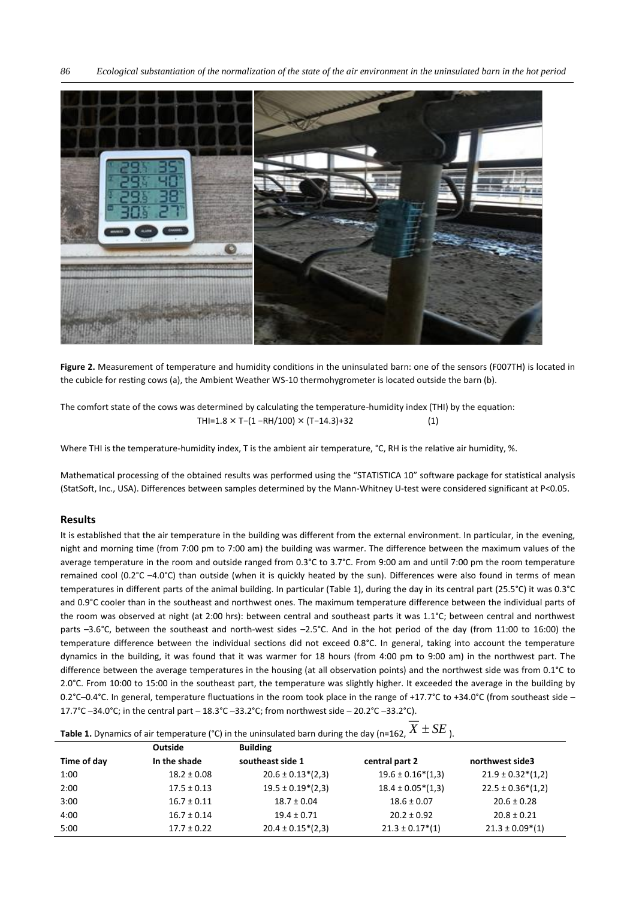

**Figure 2.** Measurement of temperature and humidity conditions in the uninsulated barn: one of the sensors (F007TH) is located in the cubicle for resting cows (a), the Ambient Weather WS-10 thermohygrometer is located outside the barn (b).

The comfort state of the cows was determined by calculating the temperature-humidity index (THI) by the equation: THI=1.8 × T−(1 −RH/100) × (T−14.3)+32 (1)

Where THI is the temperature-humidity index, T is the ambient air temperature, °С, RH is the relative air humidity, %.

Mathematical processing of the obtained results was performed using the "STATISTICA 10" software package for statistical analysis (StatSoft, Inc., USA). Differences between samples determined by the Mann-Whitney U-test were considered significant at P<0.05.

# **Results**

It is established that the air temperature in the building was different from the external environment. In particular, in the evening, night and morning time (from 7:00 pm to 7:00 am) the building was warmer. The difference between the maximum values of the average temperature in the room and outside ranged from 0.3°C to 3.7°C. From 9:00 am and until 7:00 pm the room temperature remained cool (0.2°C –4.0°C) than outside (when it is quickly heated by the sun). Differences were also found in terms of mean temperatures in different parts of the animal building. In particular (Table 1), during the day in its central part (25.5°C) it was 0.3°C and 0.9°C cooler than in the southeast and northwest ones. The maximum temperature difference between the individual parts of the room was observed at night (at 2:00 hrs): between central and southeast parts it was 1.1°C; between central and northwest parts –3.6°C, between the southeast and north-west sides –2.5°C. And in the hot period of the day (from 11:00 to 16:00) the temperature difference between the individual sections did not exceed 0.8°C. In general, taking into account the temperature dynamics in the building, it was found that it was warmer for 18 hours (from 4:00 pm to 9:00 am) in the northwest part. The difference between the average temperatures in the housing (at all observation points) and the northwest side was from 0.1°C to 2.0°C. From 10:00 to 15:00 in the southeast part, the temperature was slightly higher. It exceeded the average in the building by 0.2°C–0.4°С. In general, temperature fluctuations in the room took place in the range of +17.7°C to +34.0°С (from southeast side – 17.7°C –34.0°С; in the central part – 18.3°C –33.2°С; from northwest side – 20.2°C –33.2°С).

# **Table 1.** Dynamics of air temperature (°C) in the uninsulated barn during the day (n=162,  $X \pm SE$  ).

|             | Outside         | <b>Building</b>       |                                  |                       |
|-------------|-----------------|-----------------------|----------------------------------|-----------------------|
| Time of day | In the shade    | southeast side 1      | central part 2                   | northwest side3       |
| 1:00        | $18.2 \pm 0.08$ | $20.6 \pm 0.13*(2.3)$ | $19.6 \pm 0.16*(1,3)$            | $21.9 \pm 0.32*(1,2)$ |
| 2:00        | $17.5 \pm 0.13$ | $19.5 \pm 0.19*(2,3)$ | $18.4 \pm 0.05*(1,3)$            | $22.5 \pm 0.36*(1,2)$ |
| 3:00        | $16.7 \pm 0.11$ | $18.7 \pm 0.04$       | $18.6 \pm 0.07$                  | $20.6 \pm 0.28$       |
| 4:00        | $16.7 \pm 0.14$ | $19.4 \pm 0.71$       | $20.2 \pm 0.92$                  | $20.8 \pm 0.21$       |
| 5:00        | $17.7 \pm 0.22$ | $20.4 \pm 0.15*(2,3)$ | $21.3 \pm 0.17$ <sup>*</sup> (1) | $21.3 \pm 0.09^*(1)$  |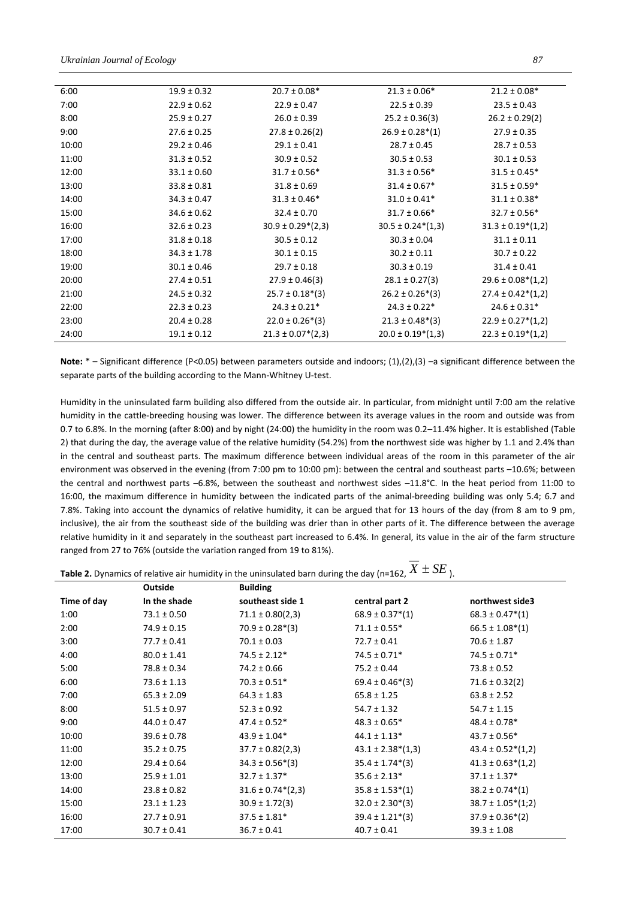| 6:00  | $19.9 \pm 0.32$ | $20.7 \pm 0.08*$                     | $21.3 \pm 0.06*$      | $21.2 \pm 0.08*$         |
|-------|-----------------|--------------------------------------|-----------------------|--------------------------|
| 7:00  | $22.9 \pm 0.62$ | $22.9 \pm 0.47$                      | $22.5 \pm 0.39$       | $23.5 \pm 0.43$          |
| 8:00  | $25.9 \pm 0.27$ | $26.0 \pm 0.39$                      | $25.2 \pm 0.36(3)$    | $26.2 \pm 0.29(2)$       |
| 9:00  | $27.6 \pm 0.25$ | $27.8 \pm 0.26(2)$                   | $26.9 \pm 0.28*(1)$   | $27.9 \pm 0.35$          |
| 10:00 | $29.2 \pm 0.46$ | $29.1 \pm 0.41$                      | $28.7 \pm 0.45$       | $28.7 \pm 0.53$          |
| 11:00 | $31.3 \pm 0.52$ | $30.9 \pm 0.52$                      | $30.5 \pm 0.53$       | $30.1 \pm 0.53$          |
| 12:00 | $33.1 \pm 0.60$ | $31.7 \pm 0.56*$                     | $31.3 \pm 0.56*$      | $31.5 \pm 0.45*$         |
| 13:00 | $33.8 \pm 0.81$ | $31.8 \pm 0.69$                      | $31.4 \pm 0.67*$      | $31.5 \pm 0.59*$         |
| 14:00 | $34.3 \pm 0.47$ | $31.3 \pm 0.46*$                     | $31.0 \pm 0.41*$      | $31.1 \pm 0.38*$         |
| 15:00 | $34.6 \pm 0.62$ | $32.4 \pm 0.70$                      | $31.7 \pm 0.66*$      | $32.7 \pm 0.56*$         |
| 16:00 | $32.6 \pm 0.23$ | $30.9 \pm 0.29*(2,3)$                | $30.5 \pm 0.24*(1,3)$ | $31.3 \pm 0.19*(1,2)$    |
| 17:00 | $31.8 \pm 0.18$ | $30.5 \pm 0.12$                      | $30.3 \pm 0.04$       | $31.1 \pm 0.11$          |
| 18:00 | $34.3 \pm 1.78$ | $30.1 \pm 0.15$                      | $30.2 \pm 0.11$       | $30.7 \pm 0.22$          |
| 19:00 | $30.1 \pm 0.46$ | $29.7 \pm 0.18$                      | $30.3 \pm 0.19$       | $31.4 \pm 0.41$          |
| 20:00 | $27.4 \pm 0.51$ | $27.9 \pm 0.46(3)$                   | $28.1 \pm 0.27(3)$    | $29.6 \pm 0.08*(1,2)$    |
| 21:00 | $24.5 \pm 0.32$ | $25.7 \pm 0.18*(3)$                  | $26.2 \pm 0.26*(3)$   | $27.4 \pm 0.42*(1,2)$    |
| 22:00 | $22.3 \pm 0.23$ | $24.3 \pm 0.21*$                     | $24.3 \pm 0.22*$      | $24.6 \pm 0.31*$         |
| 23:00 | $20.4 \pm 0.28$ | $22.0 \pm 0.26*(3)$                  | $21.3 \pm 0.48*(3)$   | $22.9 \pm 0.27^{*}(1,2)$ |
| 24:00 | $19.1 \pm 0.12$ | $21.3 \pm 0.07$ <sup>*</sup> $(2,3)$ | $20.0 \pm 0.19*(1,3)$ | $22.3 \pm 0.19^{*}(1,2)$ |
|       |                 |                                      |                       |                          |

Note: \* – Significant difference (P<0.05) between parameters outside and indoors; (1),(2),(3) –a significant difference between the separate parts of the building according to the Mann-Whitney U-test.

Humidity in the uninsulated farm building also differed from the outside air. In particular, from midnight until 7:00 am the relative humidity in the cattle-breeding housing was lower. The difference between its average values in the room and outside was from 0.7 to 6.8%. In the morning (after 8:00) and by night (24:00) the humidity in the room was 0.2–11.4% higher. It is established (Table 2) that during the day, the average value of the relative humidity (54.2%) from the northwest side was higher by 1.1 and 2.4% than in the central and southeast parts. The maximum difference between individual areas of the room in this parameter of the air environment was observed in the evening (from 7:00 pm to 10:00 pm): between the central and southeast parts –10.6%; between the central and northwest parts –6.8%, between the southeast and northwest sides –11.8°C. In the heat period from 11:00 to 16:00, the maximum difference in humidity between the indicated parts of the animal-breeding building was only 5.4; 6.7 and 7.8%. Taking into account the dynamics of relative humidity, it can be argued that for 13 hours of the day (from 8 am to 9 pm, inclusive), the air from the southeast side of the building was drier than in other parts of it. The difference between the average relative humidity in it and separately in the southeast part increased to 6.4%. In general, its value in the air of the farm structure ranged from 27 to 76% (outside the variation ranged from 19 to 81%).

| <b>Table 2.</b> Dynamics of relative air humidity in the uninsulated barn during the day (n=162, $X \pm SE$ ). |  |
|----------------------------------------------------------------------------------------------------------------|--|

|             | <b>Outside</b>  | <b>Building</b>       |                                  |                       |
|-------------|-----------------|-----------------------|----------------------------------|-----------------------|
| Time of day | In the shade    | southeast side 1      | central part 2                   | northwest side3       |
| 1:00        | $73.1 \pm 0.50$ | $71.1 \pm 0.80(2,3)$  | $68.9 \pm 0.37$ <sup>*</sup> (1) | $68.3 \pm 0.47^*(1)$  |
| 2:00        | $74.9 \pm 0.15$ | $70.9 \pm 0.28*(3)$   | $71.1 \pm 0.55*$                 | $66.5 \pm 1.08^*(1)$  |
| 3:00        | $77.7 \pm 0.41$ | $70.1 \pm 0.03$       | $72.7 \pm 0.41$                  | $70.6 \pm 1.87$       |
| 4:00        | $80.0 \pm 1.41$ | $74.5 \pm 2.12*$      | $74.5 \pm 0.71*$                 | $74.5 \pm 0.71*$      |
| 5:00        | $78.8 \pm 0.34$ | $74.2 \pm 0.66$       | $75.2 \pm 0.44$                  | $73.8 \pm 0.52$       |
| 6:00        | $73.6 \pm 1.13$ | $70.3 \pm 0.51*$      | $69.4 \pm 0.46*(3)$              | $71.6 \pm 0.32(2)$    |
| 7:00        | $65.3 \pm 2.09$ | $64.3 \pm 1.83$       | $65.8 \pm 1.25$                  | $63.8 \pm 2.52$       |
| 8:00        | $51.5 \pm 0.97$ | $52.3 \pm 0.92$       | $54.7 \pm 1.32$                  | $54.7 \pm 1.15$       |
| 9:00        | $44.0 \pm 0.47$ | $47.4 \pm 0.52*$      | $48.3 \pm 0.65*$                 | $48.4 \pm 0.78*$      |
| 10:00       | $39.6 \pm 0.78$ | $43.9 \pm 1.04*$      | $44.1 \pm 1.13*$                 | $43.7 \pm 0.56*$      |
| 11:00       | $35.2 \pm 0.75$ | $37.7 \pm 0.82(2,3)$  | $43.1 \pm 2.38*(1,3)$            | $43.4 \pm 0.52*(1,2)$ |
| 12:00       | $29.4 \pm 0.64$ | $34.3 \pm 0.56*(3)$   | $35.4 \pm 1.74*(3)$              | $41.3 \pm 0.63*(1,2)$ |
| 13:00       | $25.9 \pm 1.01$ | $32.7 \pm 1.37*$      | $35.6 \pm 2.13*$                 | $37.1 \pm 1.37*$      |
| 14:00       | $23.8 \pm 0.82$ | $31.6 \pm 0.74*(2,3)$ | $35.8 \pm 1.53*(1)$              | $38.2 \pm 0.74*(1)$   |
| 15:00       | $23.1 \pm 1.23$ | $30.9 \pm 1.72(3)$    | $32.0 \pm 2.30*(3)$              | $38.7 \pm 1.05*(1;2)$ |
| 16:00       | $27.7 \pm 0.91$ | $37.5 \pm 1.81*$      | $39.4 \pm 1.21$ <sup>*</sup> (3) | $37.9 \pm 0.36*(2)$   |
| 17:00       | $30.7 \pm 0.41$ | $36.7 \pm 0.41$       | $40.7 \pm 0.41$                  | $39.3 \pm 1.08$       |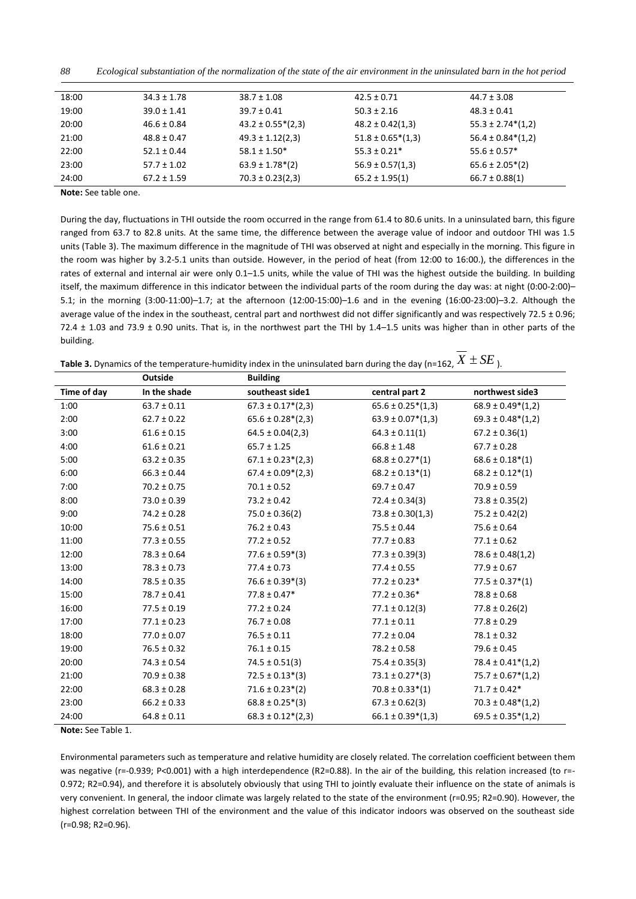| 88<br>Ecological substantiation of the normalization of the state of the air environment in the uninsulated barn in the hot period |  |
|------------------------------------------------------------------------------------------------------------------------------------|--|
|------------------------------------------------------------------------------------------------------------------------------------|--|

| 18:00 | $34.3 \pm 1.78$ | $38.7 \pm 1.08$        | $42.5 \pm 0.71$       | $44.7 \pm 3.08$       |
|-------|-----------------|------------------------|-----------------------|-----------------------|
| 19:00 | $39.0 \pm 1.41$ | $39.7 \pm 0.41$        | $50.3 \pm 2.16$       | $48.3 \pm 0.41$       |
| 20:00 | $46.6 \pm 0.84$ | $43.2 \pm 0.55*(2,3)$  | $48.2 \pm 0.42(1,3)$  | $55.3 \pm 2.74*(1,2)$ |
| 21:00 | $48.8 \pm 0.47$ | $49.3 \pm 1.12(2,3)$   | $51.8 \pm 0.65*(1,3)$ | $56.4 \pm 0.84*(1,2)$ |
| 22:00 | $52.1 \pm 0.44$ | $58.1 \pm 1.50*$       | $55.3 \pm 0.21*$      | $55.6 \pm 0.57*$      |
| 23:00 | $57.7 \pm 1.02$ | $63.9 \pm 1.78^{*}(2)$ | $56.9 \pm 0.57(1,3)$  | $65.6 \pm 2.05*(2)$   |
| 24:00 | $67.2 \pm 1.59$ | $70.3 \pm 0.23(2,3)$   | $65.2 \pm 1.95(1)$    | $66.7 \pm 0.88(1)$    |

**Note:** See table one.

During the day, fluctuations in THI outside the room occurred in the range from 61.4 to 80.6 units. In a uninsulated barn, this figure ranged from 63.7 to 82.8 units. At the same time, the difference between the average value of indoor and outdoor THI was 1.5 units (Table 3). The maximum difference in the magnitude of THI was observed at night and especially in the morning. This figure in the room was higher by 3.2-5.1 units than outside. However, in the period of heat (from 12:00 to 16:00.), the differences in the rates of external and internal air were only 0.1–1.5 units, while the value of THI was the highest outside the building. In building itself, the maximum difference in this indicator between the individual parts of the room during the day was: at night (0:00-2:00)– 5.1; in the morning (3:00-11:00)–1.7; at the afternoon (12:00-15:00)–1.6 and in the evening (16:00-23:00)–3.2. Although the average value of the index in the southeast, central part and northwest did not differ significantly and was respectively  $72.5 \pm 0.96$ ; 72.4  $\pm$  1.03 and 73.9  $\pm$  0.90 units. That is, in the northwest part the THI by 1.4–1.5 units was higher than in other parts of the building.

| <b>Table 3.</b> Dynamics of the temperature-humidity index in the uninsulated barn during the day (n=162, $X \pm SE$ ). |  |  |
|-------------------------------------------------------------------------------------------------------------------------|--|--|
|                                                                                                                         |  |  |

|             | <b>Outside</b>  | <b>Building</b>          |                                  |                                  |
|-------------|-----------------|--------------------------|----------------------------------|----------------------------------|
| Time of day | In the shade    | southeast side1          | central part 2                   | northwest side3                  |
| 1:00        | $63.7 \pm 0.11$ | $67.3 \pm 0.17^{*}(2,3)$ | $65.6 \pm 0.25*(1,3)$            | $68.9 \pm 0.49^*(1,2)$           |
| 2:00        | $62.7 \pm 0.22$ | $65.6 \pm 0.28*(2,3)$    | $63.9 \pm 0.07*(1,3)$            | $69.3 \pm 0.48^*(1,2)$           |
| 3:00        | $61.6 \pm 0.15$ | $64.5 \pm 0.04(2,3)$     | $64.3 \pm 0.11(1)$               | $67.2 \pm 0.36(1)$               |
| 4:00        | $61.6 \pm 0.21$ | $65.7 \pm 1.25$          | $66.8 \pm 1.48$                  | $67.7 \pm 0.28$                  |
| 5:00        | $63.2 \pm 0.35$ | $67.1 \pm 0.23*(2,3)$    | $68.8 \pm 0.27*(1)$              | $68.6 \pm 0.18*(1)$              |
| 6:00        | $66.3 \pm 0.44$ | $67.4 \pm 0.09*(2,3)$    | $68.2 \pm 0.13*(1)$              | $68.2 \pm 0.12*(1)$              |
| 7:00        | $70.2 \pm 0.75$ | $70.1 \pm 0.52$          | $69.7 \pm 0.47$                  | $70.9 \pm 0.59$                  |
| 8:00        | $73.0 \pm 0.39$ | $73.2 \pm 0.42$          | $72.4 \pm 0.34(3)$               | $73.8 \pm 0.35(2)$               |
| 9:00        | $74.2 \pm 0.28$ | $75.0 \pm 0.36(2)$       | $73.8 \pm 0.30(1,3)$             | $75.2 \pm 0.42(2)$               |
| 10:00       | $75.6 \pm 0.51$ | $76.2 \pm 0.43$          | $75.5 \pm 0.44$                  | $75.6 \pm 0.64$                  |
| 11:00       | $77.3 \pm 0.55$ | $77.2 \pm 0.52$          | $77.7 \pm 0.83$                  | $77.1 \pm 0.62$                  |
| 12:00       | $78.3 \pm 0.64$ | $77.6 \pm 0.59*(3)$      | $77.3 \pm 0.39(3)$               | $78.6 \pm 0.48(1,2)$             |
| 13:00       | $78.3 \pm 0.73$ | $77.4 \pm 0.73$          | $77.4 \pm 0.55$                  | $77.9 \pm 0.67$                  |
| 14:00       | $78.5 \pm 0.35$ | $76.6 \pm 0.39*(3)$      | $77.2 \pm 0.23*$                 | $77.5 \pm 0.37$ <sup>*</sup> (1) |
| 15:00       | $78.7 \pm 0.41$ | $77.8 \pm 0.47*$         | $77.2 \pm 0.36*$                 | $78.8 \pm 0.68$                  |
| 16:00       | $77.5 \pm 0.19$ | $77.2 \pm 0.24$          | $77.1 \pm 0.12(3)$               | $77.8 \pm 0.26(2)$               |
| 17:00       | $77.1 \pm 0.23$ | $76.7 \pm 0.08$          | $77.1 \pm 0.11$                  | $77.8 \pm 0.29$                  |
| 18:00       | $77.0 \pm 0.07$ | $76.5 \pm 0.11$          | $77.2 \pm 0.04$                  | $78.1 \pm 0.32$                  |
| 19:00       | $76.5 \pm 0.32$ | $76.1 \pm 0.15$          | $78.2 \pm 0.58$                  | $79.6 \pm 0.45$                  |
| 20:00       | $74.3 \pm 0.54$ | $74.5 \pm 0.51(3)$       | $75.4 \pm 0.35(3)$               | $78.4 \pm 0.41^*(1,2)$           |
| 21:00       | $70.9 \pm 0.38$ | $72.5 \pm 0.13*(3)$      | $73.1 \pm 0.27$ <sup>*</sup> (3) | $75.7 \pm 0.67*(1,2)$            |
| 22:00       | $68.3 \pm 0.28$ | $71.6 \pm 0.23*(2)$      | $70.8 \pm 0.33*(1)$              | $71.7 \pm 0.42*$                 |
| 23:00       | $66.2 \pm 0.33$ | $68.8 \pm 0.25*(3)$      | $67.3 \pm 0.62(3)$               | $70.3 \pm 0.48^*(1,2)$           |
| 24:00       | $64.8 \pm 0.11$ | $68.3 \pm 0.12*(2,3)$    | $66.1 \pm 0.39*(1,3)$            | $69.5 \pm 0.35*(1,2)$            |

**Note:** See Table 1.

Environmental parameters such as temperature and relative humidity are closely related. The correlation coefficient between them was negative (r=-0.939; P<0.001) with a high interdependence (R2=0.88). In the air of the building, this relation increased (to r=-0.972; R2=0.94), and therefore it is absolutely obviously that using THI to jointly evaluate their influence on the state of animals is very convenient. In general, the indoor climate was largely related to the state of the environment (r=0.95; R2=0.90). However, the highest correlation between THI of the environment and the value of this indicator indoors was observed on the southeast side (r=0.98; R2=0.96).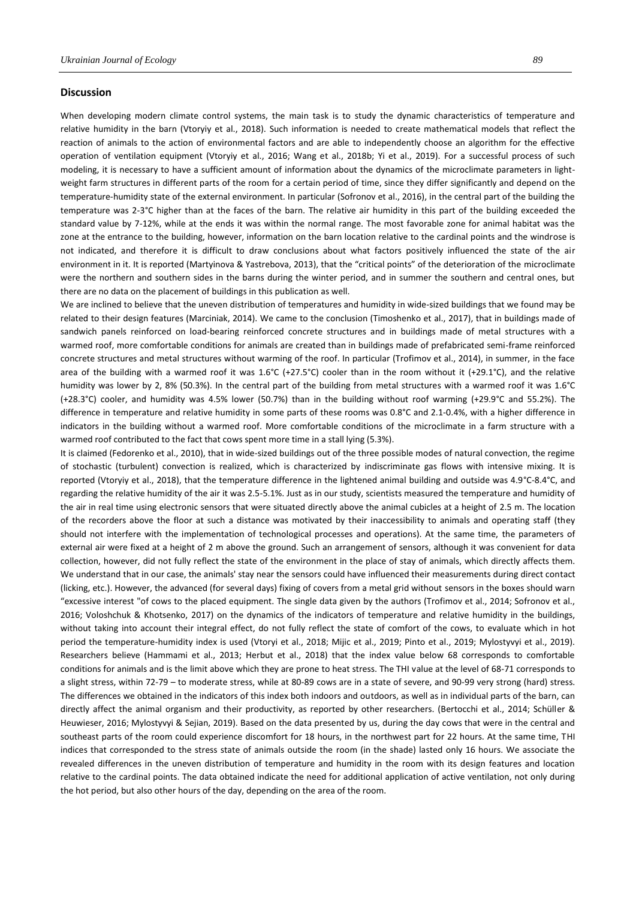#### **Discussion**

When developing modern climate control systems, the main task is to study the dynamic characteristics of temperature and relative humidity in the barn (Vtoryiy et al., 2018). Such information is needed to create mathematical models that reflect the reaction of animals to the action of environmental factors and are able to independently choose an algorithm for the effective operation of ventilation equipment (Vtoryiy et al., 2016; Wang et al., 2018b; Yi et al., 2019). For a successful process of such modeling, it is necessary to have a sufficient amount of information about the dynamics of the microclimate parameters in lightweight farm structures in different parts of the room for a certain period of time, since they differ significantly and depend on the temperature-humidity state of the external environment. In particular (Sofronov et al., 2016), in the central part of the building the temperature was 2-3°C higher than at the faces of the barn. The relative air humidity in this part of the building exceeded the standard value by 7-12%, while at the ends it was within the normal range. The most favorable zone for animal habitat was the zone at the entrance to the building, however, information on the barn location relative to the cardinal points and the windrose is not indicated, and therefore it is difficult to draw conclusions about what factors positively influenced the state of the air environment in it. It is reported (Martyinova & Yastrebova, 2013), that the "critical points" of the deterioration of the microclimate were the northern and southern sides in the barns during the winter period, and in summer the southern and central ones, but there are no data on the placement of buildings in this publication as well.

We are inclined to believe that the uneven distribution of temperatures and humidity in wide-sized buildings that we found may be related to their design features (Marciniak, 2014). We came to the conclusion (Timoshenko et al., 2017), that in buildings made of sandwich panels reinforced on load-bearing reinforced concrete structures and in buildings made of metal structures with a warmed roof, more comfortable conditions for animals are created than in buildings made of prefabricated semi-frame reinforced concrete structures and metal structures without warming of the roof. In particular (Trofimov et al., 2014), in summer, in the face area of the building with a warmed roof it was  $1.6^{\circ}C$  (+27.5 $^{\circ}C$ ) cooler than in the room without it (+29.1 $^{\circ}C$ ), and the relative humidity was lower by 2, 8% (50.3%). In the central part of the building from metal structures with a warmed roof it was 1.6°C (+28.3°C) cooler, and humidity was 4.5% lower (50.7%) than in the building without roof warming (+29.9°C and 55.2%). The difference in temperature and relative humidity in some parts of these rooms was 0.8°C and 2.1-0.4%, with a higher difference in indicators in the building without a warmed roof. More comfortable conditions of the microclimate in a farm structure with a warmed roof contributed to the fact that cows spent more time in a stall lying (5.3%).

It is claimed (Fedorenko et al., 2010), that in wide-sized buildings out of the three possible modes of natural convection, the regime of stochastic (turbulent) convection is realized, which is characterized by indiscriminate gas flows with intensive mixing. It is reported (Vtoryiy et al., 2018), that the temperature difference in the lightened animal building and outside was 4.9°C-8.4°C, and regarding the relative humidity of the air it was 2.5-5.1%. Just as in our study, scientists measured the temperature and humidity of the air in real time using electronic sensors that were situated directly above the animal cubicles at a height of 2.5 m. The location of the recorders above the floor at such a distance was motivated by their inaccessibility to animals and operating staff (they should not interfere with the implementation of technological processes and operations). At the same time, the parameters of external air were fixed at a height of 2 m above the ground. Such an arrangement of sensors, although it was convenient for data collection, however, did not fully reflect the state of the environment in the place of stay of animals, which directly affects them. We understand that in our case, the animals' stay near the sensors could have influenced their measurements during direct contact (licking, etc.). However, the advanced (for several days) fixing of covers from a metal grid without sensors in the boxes should warn "excessive interest "of cows to the placed equipment. The single data given by the authors (Trofimov et al., 2014; Sofronov et al., 2016; Voloshchuk & Khotsenko, 2017) on the dynamics of the indicators of temperature and relative humidity in the buildings, without taking into account their integral effect, do not fully reflect the state of comfort of the cows, to evaluate which in hot period the temperature-humidity index is used (Vtoryi et al., 2018; Mijic et al., 2019; Pinto et al., 2019; Mylostyvyi et al., 2019). Researchers believe (Hammami et al., 2013; Herbut et al., 2018) that the index value below 68 corresponds to comfortable conditions for animals and is the limit above which they are prone to heat stress. The THI value at the level of 68-71 corresponds to a slight stress, within 72-79 – to moderate stress, while at 80-89 cows are in a state of severe, and 90-99 very strong (hard) stress. The differences we obtained in the indicators of this index both indoors and outdoors, as well as in individual parts of the barn, can directly affect the animal organism and their productivity, as reported by other researchers. (Bertocchi et al., 2014; Schüller & Heuwieser, 2016; Mylostyvyi & Sejian, 2019). Based on the data presented by us, during the day cows that were in the central and southeast parts of the room could experience discomfort for 18 hours, in the northwest part for 22 hours. At the same time, THI indices that corresponded to the stress state of animals outside the room (in the shade) lasted only 16 hours. We associate the revealed differences in the uneven distribution of temperature and humidity in the room with its design features and location relative to the cardinal points. The data obtained indicate the need for additional application of active ventilation, not only during the hot period, but also other hours of the day, depending on the area of the room.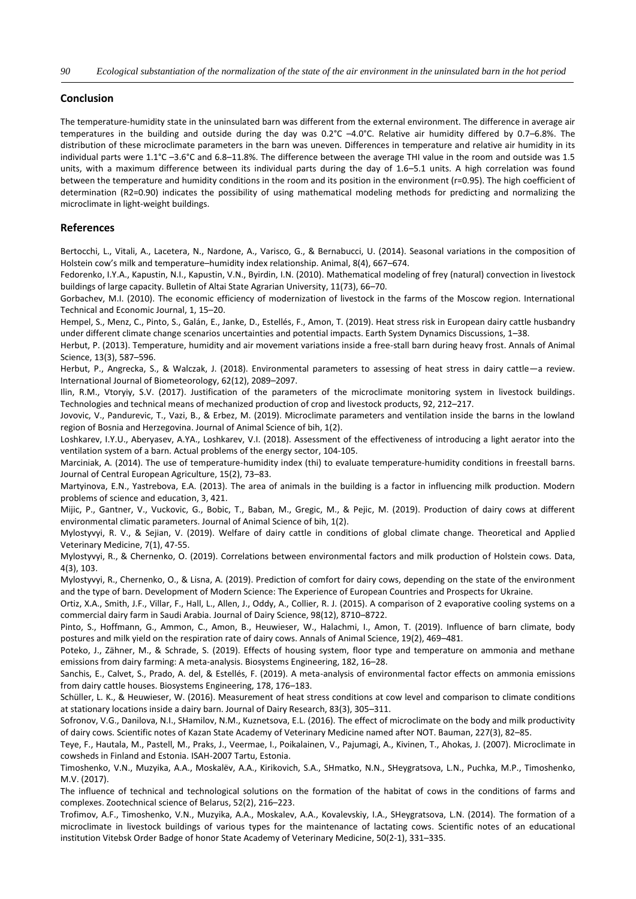### **Conclusion**

The temperature-humidity state in the uninsulated barn was different from the external environment. The difference in average air temperatures in the building and outside during the day was 0.2°C –4.0°C. Relative air humidity differed by 0.7–6.8%. The distribution of these microclimate parameters in the barn was uneven. Differences in temperature and relative air humidity in its individual parts were 1.1°C –3.6°C and 6.8–11.8%. The difference between the average THI value in the room and outside was 1.5 units, with a maximum difference between its individual parts during the day of 1.6–5.1 units. A high correlation was found between the temperature and humidity conditions in the room and its position in the environment (r=0.95). The high coefficient of determination (R2=0.90) indicates the possibility of using mathematical modeling methods for predicting and normalizing the microclimate in light-weight buildings.

# **References**

Bertocchi, L., Vitali, A., Lacetera, N., Nardone, A., Varisco, G., & Bernabucci, U. (2014). Seasonal variations in the composition of Holstein cow's milk and temperature–humidity index relationship. Animal, 8(4), 667–674.

Fedorenko, I.Y.A., Kapustin, N.I., Kapustin, V.N., Byirdin, I.N. (2010). Mathematical modeling of frey (natural) convection in livestock buildings of large capacity. Bulletin of Altai State Agrarian University, 11(73), 66–70.

Gorbachev, M.I. (2010). The economic efficiency of modernization of livestock in the farms of the Moscow region. International Technical and Economic Journal, 1, 15–20.

Hempel, S., Menz, C., Pinto, S., Galán, E., Janke, D., Estellés, F., Amon, T. (2019). Heat stress risk in European dairy cattle husbandry under different climate change scenarios uncertainties and potential impacts. Earth System Dynamics Discussions, 1–38.

Herbut, P. (2013). Temperature, humidity and air movement variations inside a free-stall barn during heavy frost. Annals of Animal Science, 13(3), 587–596.

Herbut, P., Angrecka, S., & Walczak, J. (2018). Environmental parameters to assessing of heat stress in dairy cattle—a review. International Journal of Biometeorology, 62(12), 2089–2097.

Ilin, R.M., Vtoryiy, S.V. (2017). Justification of the parameters of the microclimate monitoring system in livestock buildings. Technologies and technical means of mechanized production of crop and livestock products, 92, 212–217.

Jovovic, V., Pandurevic, T., Vazi, B., & Erbez, M. (2019). Microclimate parameters and ventilation inside the barns in the lowland region of Bosnia and Herzegovina. Journal of Animal Science of bih, 1(2).

Loshkarev, I.Y.U., Aberyasev, A.YA., Loshkarev, V.I. (2018). Assessment of the effectiveness of introducing a light aerator into the ventilation system of a barn. Actual problems of the energy sector, 104-105.

Marciniak, A. (2014). The use of temperature-humidity index (thi) to evaluate temperature-humidity conditions in freestall barns. Journal of Central European Agriculture, 15(2), 73–83.

Martyinova, E.N., Yastrebova, E.A. (2013). The area of animals in the building is a factor in influencing milk production. Modern problems of science and education, 3, 421.

Mijic, P., Gantner, V., Vuckovic, G., Bobic, T., Baban, M., Gregic, M., & Pejic, M. (2019). Production of dairy cows at different environmental climatic parameters. Journal of Animal Science of bih, 1(2).

Mylostyvyi, R. V., & Sejian, V. (2019). Welfare of dairy cattle in conditions of global climate change. Theoretical and Applied Veterinary Medicine, 7(1), 47-55.

Mylostyvyi, R., & Chernenko, O. (2019). Correlations between environmental factors and milk production of Holstein cows. Data, 4(3), 103.

Mylostyvyi, R., Chernenko, O., & Lisna, A. (2019). Prediction of comfort for dairy cows, depending on the state of the environment and the type of barn. Development of Modern Science: The Experience of European Countries and Prospects for Ukraine.

Ortiz, X.A., Smith, J.F., Villar, F., Hall, L., Allen, J., Oddy, A., Collier, R. J. (2015). A comparison of 2 evaporative cooling systems on a commercial dairy farm in Saudi Arabia. Journal of Dairy Science, 98(12), 8710–8722.

Pinto, S., Hoffmann, G., Ammon, C., Amon, B., Heuwieser, W., Halachmi, I., Amon, T. (2019). Influence of barn climate, body postures and milk yield on the respiration rate of dairy cows. Annals of Animal Science, 19(2), 469–481.

Poteko, J., Zähner, M., & Schrade, S. (2019). Effects of housing system, floor type and temperature on ammonia and methane emissions from dairy farming: A meta-analysis. Biosystems Engineering, 182, 16–28.

Sanchis, E., Calvet, S., Prado, A. del, & Estellés, F. (2019). A meta-analysis of environmental factor effects on ammonia emissions from dairy cattle houses. Biosystems Engineering, 178, 176–183.

Schüller, L. K., & Heuwieser, W. (2016). Measurement of heat stress conditions at cow level and comparison to climate conditions at stationary locations inside a dairy barn. Journal of Dairy Research, 83(3), 305–311.

Sofronov, V.G., Danilova, N.I., SHamilov, N.M., Kuznetsova, E.L. (2016). The effect of microclimate on the body and milk productivity of dairy cows. Scientific notes of Kazan State Academy of Veterinary Medicine named after NOT. Bauman, 227(3), 82–85.

Teye, F., Hautala, M., Pastell, M., Praks, J., Veermae, I., Poikalainen, V., Pajumagi, A., Kivinen, T., Ahokas, J. (2007). Microclimate in cowsheds in Finland and Estonia. ISAH-2007 Tartu, Estonia.

Timoshenko, V.N., Muzyika, A.A., Moskalёv, A.A., Kirikovich, S.A., SHmatko, N.N., SHeygratsova, L.N., Puchka, M.P., Timoshenko, M.V. (2017).

The influence of technical and technological solutions on the formation of the habitat of cows in the conditions of farms and complexes. Zootechnical science of Belarus, 52(2), 216–223.

Trofimov, A.F., Timoshenko, V.N., Muzyika, A.A., Moskalev, A.A., Kovalevskiy, I.A., SHeygratsova, L.N. (2014). The formation of a microclimate in livestock buildings of various types for the maintenance of lactating cows. Scientific notes of an educational institution Vitebsk Order Badge of honor State Academy of Veterinary Medicine, 50(2-1), 331–335.